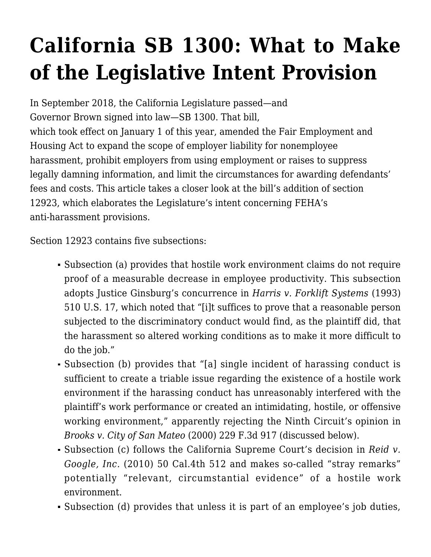## **[California SB 1300: What to Make](http://scocablog.com/california-sb-1300-what-to-make-of-the-legislative-intent-provision/) [of the Legislative Intent Provision](http://scocablog.com/california-sb-1300-what-to-make-of-the-legislative-intent-provision/)**

In September 2018, the California Legislature passed—and Governor Brown signed into law[—SB 1300](https://leginfo.legislature.ca.gov/faces/billTextClient.xhtml?bill_id=201720180SB1300). That bill, which took effect on January 1 of this year, amended the Fair Employment and Housing Act to expand the scope of employer liability for nonemployee harassment, prohibit employers from using employment or raises to suppress legally damning information, and limit the circumstances for awarding defendants' fees and costs. This article takes a closer look at the bill's addition of section 12923, which elaborates the Legislature's intent concerning FEHA's anti-harassment provisions.

Section 12923 contains five subsections:

- Subsection (a) provides that hostile work environment claims do not require proof of a measurable decrease in employee productivity. This subsection adopts Justice Ginsburg's concurrence in *Harris v. Forklift Systems* (1993) 510 U.S. 17, which noted that "[i]t suffices to prove that a reasonable person subjected to the discriminatory conduct would find, as the plaintiff did, that the harassment so altered working conditions as to make it more difficult to do the job."
- Subsection (b) provides that "[a] single incident of harassing conduct is sufficient to create a triable issue regarding the existence of a hostile work environment if the harassing conduct has unreasonably interfered with the plaintiff's work performance or created an intimidating, hostile, or offensive working environment," apparently rejecting the Ninth Circuit's opinion in *Brooks v. City of San Mateo* (2000) 229 F.3d 917 (discussed below).
- Subsection (c) follows the California Supreme Court's decision in *Reid v. Google, Inc.* (2010) 50 Cal.4th 512 and makes so-called "stray remarks" potentially "relevant, circumstantial evidence" of a hostile work environment.
- Subsection (d) provides that unless it is part of an employee's job duties,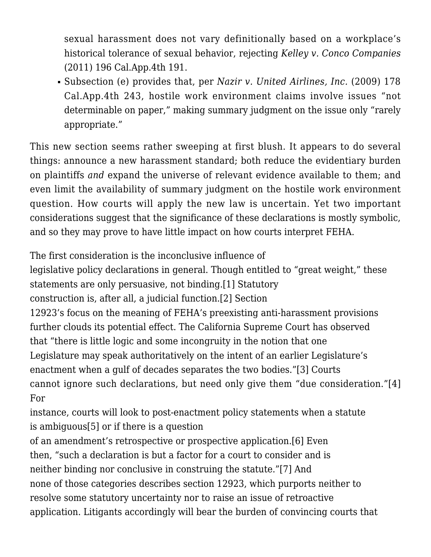sexual harassment does not vary definitionally based on a workplace's historical tolerance of sexual behavior, rejecting *Kelley v. Conco Companies* (2011) 196 Cal.App.4th 191.

Subsection (e) provides that, per *Nazir v. United Airlines, Inc.* (2009) 178 Cal.App.4th 243, hostile work environment claims involve issues "not determinable on paper," making summary judgment on the issue only "rarely appropriate."

This new section seems rather sweeping at first blush. It appears to do several things: announce a new harassment standard; both reduce the evidentiary burden on plaintiffs *and* expand the universe of relevant evidence available to them; and even limit the availability of summary judgment on the hostile work environment question. How courts will apply the new law is uncertain. Yet two important considerations suggest that the significance of these declarations is mostly symbolic, and so they may prove to have little impact on how courts interpret FEHA.

The first consideration is the inconclusive influence of

legislative policy declarations in general. Though entitled to "great weight," these statements are only persuasive, not binding.[\[1\]](#page--1-0) Statutory

construction is, after all, a judicial function.[\[2\]](#page--1-0) Section

12923's focus on the meaning of FEHA's preexisting anti-harassment provisions further clouds its potential effect. The California Supreme Court has observed that "there is little logic and some incongruity in the notion that one Legislature may speak authoritatively on the intent of an earlier Legislature's enactment when a gulf of decades separates the two bodies.["\[3\]](#page--1-0) Courts cannot ignore such declarations, but need only give them "due consideration."[\[4\]](#page--1-0) For

instance, courts will look to post-enactment policy statements when a statute is ambiguous[\[5\]](#page--1-0) or if there is a question

of an amendment's retrospective or prospective application.[\[6\]](#page--1-0) Even then, "such a declaration is but a factor for a court to consider and is neither binding nor conclusive in construing the statute.["\[7\]](#page--1-0) And none of those categories describes section 12923, which purports neither to resolve some statutory uncertainty nor to raise an issue of retroactive application. Litigants accordingly will bear the burden of convincing courts that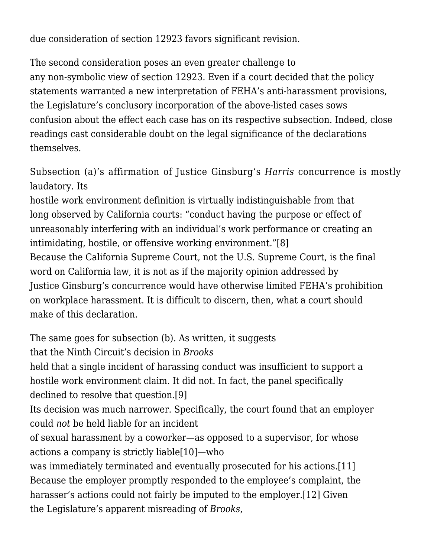due consideration of section 12923 favors significant revision.

The second consideration poses an even greater challenge to any non-symbolic view of section 12923. Even if a court decided that the policy statements warranted a new interpretation of FEHA's anti-harassment provisions, the Legislature's conclusory incorporation of the above-listed cases sows confusion about the effect each case has on its respective subsection. Indeed, close readings cast considerable doubt on the legal significance of the declarations themselves.

Subsection (a)'s affirmation of Justice Ginsburg's *Harris* concurrence is mostly laudatory. Its

hostile work environment definition is virtually indistinguishable from that long observed by California courts: "conduct having the purpose or effect of unreasonably interfering with an individual's work performance or creating an intimidating, hostile, or offensive working environment.["\[8\]](#page--1-0) Because the California Supreme Court, not the U.S. Supreme Court, is the final word on California law, it is not as if the majority opinion addressed by Justice Ginsburg's concurrence would have otherwise limited FEHA's prohibition on workplace harassment. It is difficult to discern, then, what a court should make of this declaration.

The same goes for subsection (b). As written, it suggests

that the Ninth Circuit's decision in *Brooks*

held that a single incident of harassing conduct was insufficient to support a hostile work environment claim. It did not. In fact, the panel specifically declined to resolve that question.[\[9\]](#page--1-0)

Its decision was much narrower. Specifically, the court found that an employer could *not* be held liable for an incident

of sexual harassment by a coworker—as opposed to a supervisor, for whose actions a company is strictly liable[\[10\]—](#page--1-0)who

was immediately terminated and eventually prosecuted for his actions[.\[11\]](#page--1-0) Because the employer promptly responded to the employee's complaint, the harasser's actions could not fairly be imputed to the employer[.\[12\]](#page--1-0) Given the Legislature's apparent misreading of *Brooks*,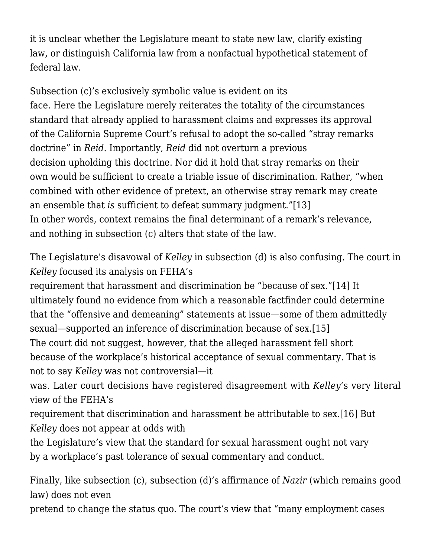it is unclear whether the Legislature meant to state new law, clarify existing law, or distinguish California law from a nonfactual hypothetical statement of federal law.

Subsection (c)'s exclusively symbolic value is evident on its face. Here the Legislature merely reiterates the totality of the circumstances standard that already applied to harassment claims and expresses its approval of the California Supreme Court's refusal to adopt the so-called "stray remarks doctrine" in *Reid*. Importantly, *Reid* did not overturn a previous decision upholding this doctrine. Nor did it hold that stray remarks on their own would be sufficient to create a triable issue of discrimination. Rather, "when combined with other evidence of pretext, an otherwise stray remark may create an ensemble that *is* sufficient to defeat summary judgment.["\[13\]](#page--1-0) In other words, context remains the final determinant of a remark's relevance, and nothing in subsection (c) alters that state of the law.

The Legislature's disavowal of *Kelley* in subsection (d) is also confusing. The court in *Kelley* focused its analysis on FEHA's

requirement that harassment and discrimination be "because of sex.["\[14\]](#page--1-0) It ultimately found no evidence from which a reasonable factfinder could determine that the "offensive and demeaning" statements at issue—some of them admittedly sexual—supported an inference of discrimination because of sex[.\[15\]](#page--1-0) The court did not suggest, however, that the alleged harassment fell short because of the workplace's historical acceptance of sexual commentary. That is not to say *Kelley* was not controversial—it

was. Later court decisions have registered disagreement with *Kelley*'s very literal view of the FEHA's

requirement that discrimination and harassment be attributable to sex[.\[16\]](#page--1-0) But *Kelley* does not appear at odds with

the Legislature's view that the standard for sexual harassment ought not vary by a workplace's past tolerance of sexual commentary and conduct.

Finally, like subsection (c), subsection (d)'s affirmance of *Nazir* (which remains good law) does not even

pretend to change the status quo. The court's view that "many employment cases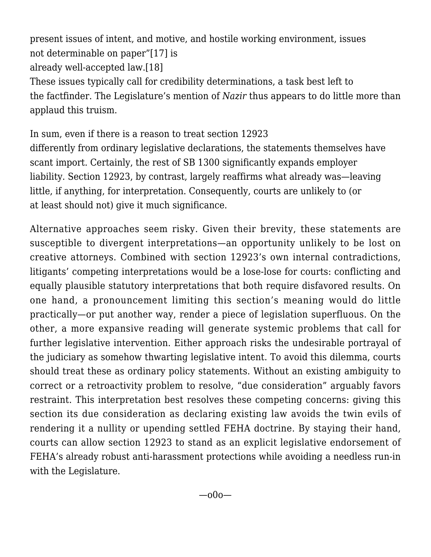present issues of intent, and motive, and hostile working environment, issues not determinable on paper["\[17\]](#page--1-0) is already well-accepted law.[\[18\]](#page--1-0) These issues typically call for credibility determinations, a task best left to the factfinder. The Legislature's mention of *Nazir* thus appears to do little more than applaud this truism.

In sum, even if there is a reason to treat section 12923 differently from ordinary legislative declarations, the statements themselves have scant import. Certainly, the rest of SB 1300 significantly expands employer liability. Section 12923, by contrast, largely reaffirms what already was—leaving little, if anything, for interpretation. Consequently, courts are unlikely to (or at least should not) give it much significance.

Alternative approaches seem risky. Given their brevity, these statements are susceptible to divergent interpretations—an opportunity unlikely to be lost on creative attorneys. Combined with section 12923's own internal contradictions, litigants' competing interpretations would be a lose-lose for courts: conflicting and equally plausible statutory interpretations that both require disfavored results. On one hand, a pronouncement limiting this section's meaning would do little practically—or put another way, render a piece of legislation superfluous. On the other, a more expansive reading will generate systemic problems that call for further legislative intervention. Either approach risks the undesirable portrayal of the judiciary as somehow thwarting legislative intent. To avoid this dilemma, courts should treat these as ordinary policy statements. Without an existing ambiguity to correct or a retroactivity problem to resolve, "due consideration" arguably favors restraint. This interpretation best resolves these competing concerns: giving this section its due consideration as declaring existing law avoids the twin evils of rendering it a nullity or upending settled FEHA doctrine. By staying their hand, courts can allow section 12923 to stand as an explicit legislative endorsement of FEHA's already robust anti-harassment protections while avoiding a needless run-in with the Legislature.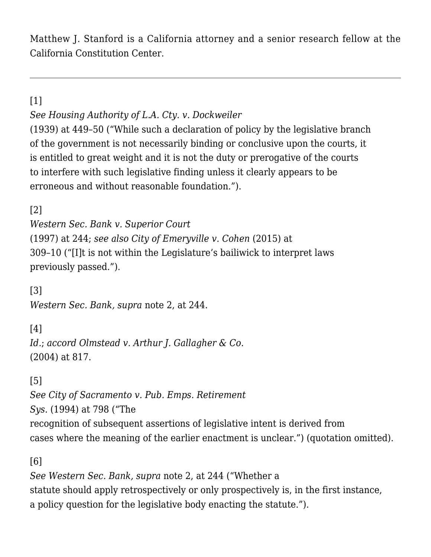Matthew J. Stanford is a California attorney and a senior research fellow at the California Constitution Center.

[\[1\]](#page--1-0)

*See [Housing Authority of L.A. Cty. v. Dockweiler](https://scholar.google.com/scholar_case?case=5653019894009291572&q=Housing+Authority+of+L.A.+Cty.+v.+Dockweiler+(1939)+&hl=en&as_sdt=4,5)*

(1939) at 449–50 ("While such a declaration of policy by the legislative branch of the government is not necessarily binding or conclusive upon the courts, it is entitled to great weight and it is not the duty or prerogative of the courts to interfere with such legislative finding unless it clearly appears to be erroneous and without reasonable foundation.").

[\[2\]](#page--1-0)

*[Western Sec. Bank v. Superior Court](https://scholar.google.com/scholar_case?case=6961568030821112504&q=15+Cal.4th+232&hl=en&as_sdt=4,5)* (1997) at 244; *see also [City of Emeryville v. Cohen](https://scholar.google.com/scholar_case?case=12631667419444990364&q=233+Cal.App.4th+293&hl=en&as_sdt=4,5)* (2015) at 309–10 ("[I]t is not within the Legislature's bailiwick to interpret laws previously passed.").

[\[3\]](#page--1-0) *[Western Sec. Bank](https://scholar.google.com/scholar_case?case=6961568030821112504&q=15+Cal.4th+232&hl=en&as_sdt=4,5), supra* note 2, at 244.

[\[4\]](#page--1-0)

*Id.*; *accord [Olmstead v. Arthur J. Gallagher & Co.](https://scholar.google.com/scholar_case?case=67628458167273207&q=32+Cal.4th+804&hl=en&as_sdt=4,5)* (2004) at 817.

[\[5\]](#page--1-0)

*See [City of Sacramento v. Pub. Emps. Retirement](https://scholar.google.com/scholar_case?case=12356860580545485349&q=22+Cal.App.4th+786&hl=en&as_sdt=4,5) [Sys.](https://scholar.google.com/scholar_case?case=12356860580545485349&q=22+Cal.App.4th+786&hl=en&as_sdt=4,5)* (1994) at 798 ("The recognition of subsequent assertions of legislative intent is derived from cases where the meaning of the earlier enactment is unclear.") (quotation omitted).

[\[6\]](#page--1-0)

*See [Western Sec. Bank,](https://scholar.google.com/scholar_case?case=6961568030821112504&q=15+Cal.4th+232&hl=en&as_sdt=4,5) supra* note 2, at 244 ("Whether a statute should apply retrospectively or only prospectively is, in the first instance, a policy question for the legislative body enacting the statute.").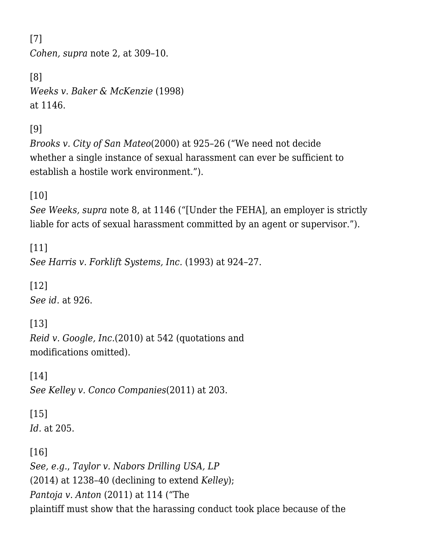[\[7\]](#page--1-0) *[Cohen,](https://scholar.google.com/scholar_case?case=12631667419444990364&q=233+Cal.App.4th+293&hl=en&as_sdt=4,5) supra* note 2, at 309–10.

```
[8]
Weeks v. Baker & McKenzie (1998)
at 1146.
```
[\[9\]](#page--1-0)

*[Brooks v. City of San Mateo](https://scholar.google.com/scholar_case?case=7980615892137408880&q=229+F.3d+917&hl=en&as_sdt=2006)*(2000) at 925–26 ("We need not decide whether a single instance of sexual harassment can ever be sufficient to establish a hostile work environment.").

[\[10\]](#page--1-0)

*See [Weeks](https://scholar.google.com/scholar_case?case=14899653913507763399&q=63+Cal.App.4th+1128&hl=en&as_sdt=4,5), supra* note 8, at 1146 ("[Under the FEHA], an employer is strictly liable for acts of sexual harassment committed by an agent or supervisor.").

[\[11\]](#page--1-0) *See [Harris v. Forklift Systems, Inc](https://scholar.google.com/scholar_case?case=5109910086591041329&q=510+U.S.+17&hl=en&as_sdt=2006).* (1993) at 924–27.

[\[12\]](#page--1-0) *See id.* at 926.

[\[13\]](#page--1-0) *[Reid v. Google, Inc.](https://scholar.google.com/scholar_case?case=967043661621034776&q=50+Cal.4th+512&hl=en&as_sdt=2006)*(2010) at 542 (quotations and modifications omitted).

[\[14\]](#page--1-0) *See [Kelley v. Conco Companies](https://scholar.google.com/scholar_case?case=11752488651645974188&q=196+Cal.App.4th+191+&hl=en&as_sdt=2006)*(2011) at 203.

## [\[15\]](#page--1-0) *Id.* at 205.

[\[16\]](#page--1-0)

*See, e.g.*, *[Taylor v. Nabors Drilling USA, LP](https://scholar.google.com/scholar_case?case=7448286728157601319&q=222+Cal.App.4th+1228&hl=en&as_sdt=2006)* (2014) at 1238–40 (declining to extend *Kelley*); *[Pantoja v. Anton](https://scholar.google.com/scholar_case?case=3734736917015413538&q=198+Cal.App.4th+87&hl=en&as_sdt=2006)* (2011) at 114 ("The plaintiff must show that the harassing conduct took place because of the